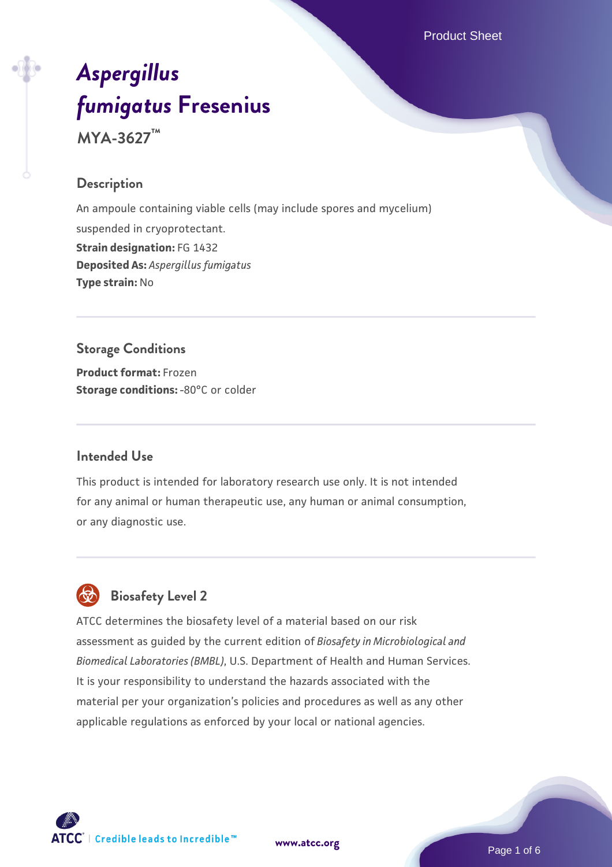Product Sheet

# *[Aspergillus](https://www.atcc.org/products/mya-3627) [fumigatus](https://www.atcc.org/products/mya-3627)* **[Fresenius](https://www.atcc.org/products/mya-3627)**

**MYA-3627™**

#### **Description**

An ampoule containing viable cells (may include spores and mycelium) suspended in cryoprotectant. **Strain designation:** FG 1432 **Deposited As:** *Aspergillus fumigatus* **Type strain:** No

#### **Storage Conditions**

**Product format:** Frozen **Storage conditions: -80°C or colder** 

#### **Intended Use**

This product is intended for laboratory research use only. It is not intended for any animal or human therapeutic use, any human or animal consumption, or any diagnostic use.

# **Biosafety Level 2**

ATCC determines the biosafety level of a material based on our risk assessment as guided by the current edition of *Biosafety in Microbiological and Biomedical Laboratories (BMBL)*, U.S. Department of Health and Human Services. It is your responsibility to understand the hazards associated with the material per your organization's policies and procedures as well as any other applicable regulations as enforced by your local or national agencies.



**[www.atcc.org](http://www.atcc.org)**

Page 1 of 6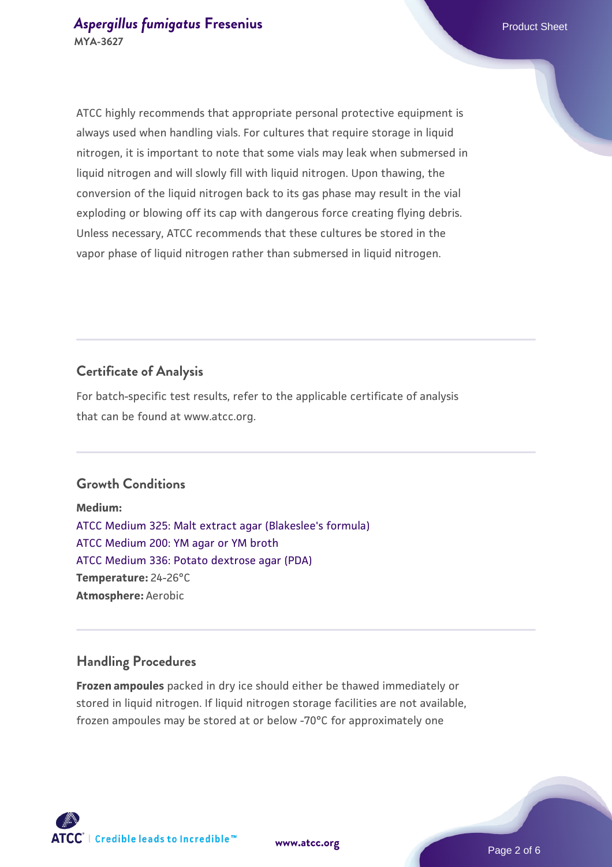ATCC highly recommends that appropriate personal protective equipment is always used when handling vials. For cultures that require storage in liquid nitrogen, it is important to note that some vials may leak when submersed in liquid nitrogen and will slowly fill with liquid nitrogen. Upon thawing, the conversion of the liquid nitrogen back to its gas phase may result in the vial exploding or blowing off its cap with dangerous force creating flying debris. Unless necessary, ATCC recommends that these cultures be stored in the vapor phase of liquid nitrogen rather than submersed in liquid nitrogen.

### **Certificate of Analysis**

For batch-specific test results, refer to the applicable certificate of analysis that can be found at www.atcc.org.

#### **Growth Conditions**

**Medium:**  [ATCC Medium 325: Malt extract agar \(Blakeslee's formula\)](https://www.atcc.org/-/media/product-assets/documents/microbial-media-formulations/3/2/5/atcc-medium-325.pdf?rev=146ec77015184a96912232dcb12386f9) [ATCC Medium 200: YM agar or YM broth](https://www.atcc.org/-/media/product-assets/documents/microbial-media-formulations/2/0/0/atcc-medium-200.pdf?rev=ac40fd74dc13433a809367b0b9da30fc) [ATCC Medium 336: Potato dextrose agar \(PDA\)](https://www.atcc.org/-/media/product-assets/documents/microbial-media-formulations/3/3/6/atcc-medium-336.pdf?rev=d9160ad44d934cd8b65175461abbf3b9) **Temperature:** 24-26°C **Atmosphere:** Aerobic

#### **Handling Procedures**

**Frozen ampoules** packed in dry ice should either be thawed immediately or stored in liquid nitrogen. If liquid nitrogen storage facilities are not available, frozen ampoules may be stored at or below -70°C for approximately one

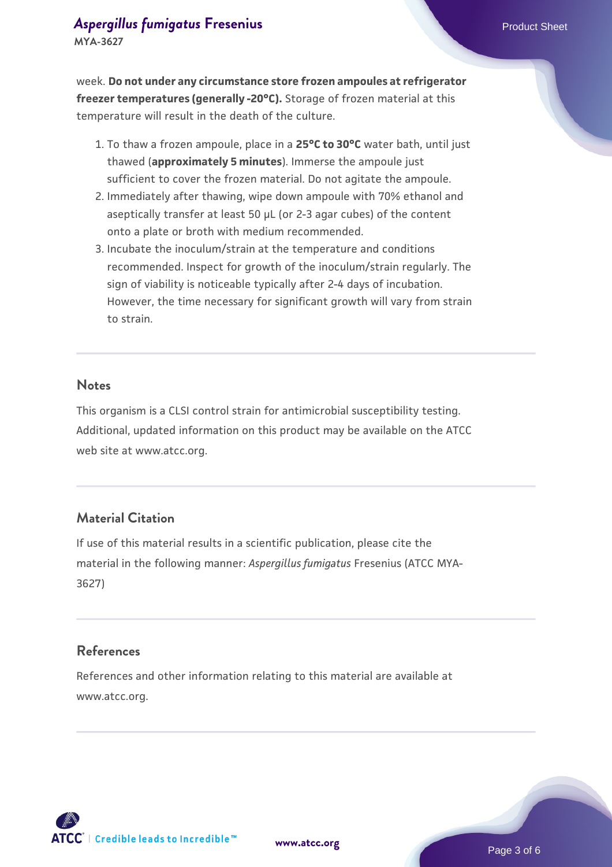week. **Do not under any circumstance store frozen ampoules at refrigerator freezer temperatures (generally -20°C).** Storage of frozen material at this temperature will result in the death of the culture.

- 1. To thaw a frozen ampoule, place in a **25°C to 30°C** water bath, until just thawed (**approximately 5 minutes**). Immerse the ampoule just sufficient to cover the frozen material. Do not agitate the ampoule.
- 2. Immediately after thawing, wipe down ampoule with 70% ethanol and aseptically transfer at least 50 µL (or 2-3 agar cubes) of the content onto a plate or broth with medium recommended.
- Incubate the inoculum/strain at the temperature and conditions 3. recommended. Inspect for growth of the inoculum/strain regularly. The sign of viability is noticeable typically after 2-4 days of incubation. However, the time necessary for significant growth will vary from strain to strain.

#### **Notes**

This organism is a CLSI control strain for antimicrobial susceptibility testing. Additional, updated information on this product may be available on the ATCC web site at www.atcc.org.

#### **Material Citation**

If use of this material results in a scientific publication, please cite the material in the following manner: *Aspergillus fumigatus* Fresenius (ATCC MYA-3627)

#### **References**

References and other information relating to this material are available at www.atcc.org.



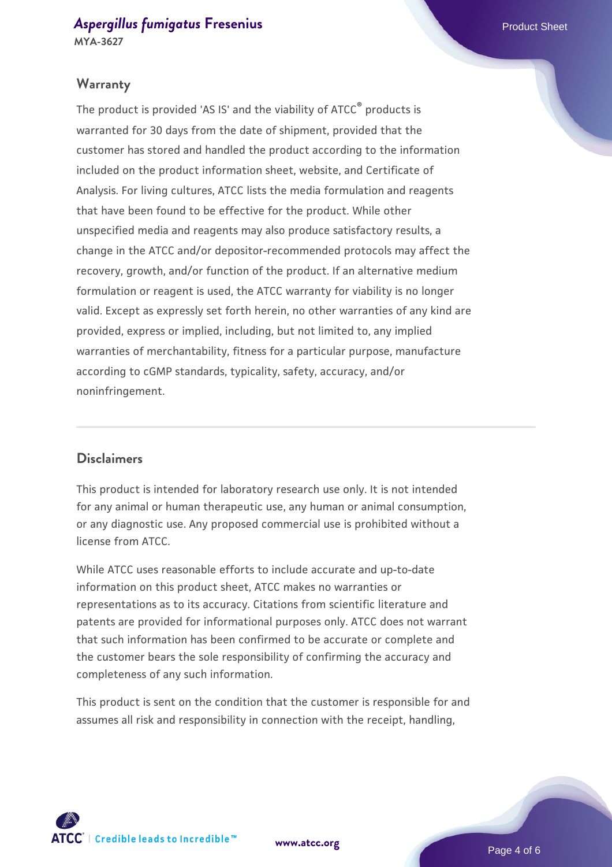#### **Warranty**

The product is provided 'AS IS' and the viability of ATCC® products is warranted for 30 days from the date of shipment, provided that the customer has stored and handled the product according to the information included on the product information sheet, website, and Certificate of Analysis. For living cultures, ATCC lists the media formulation and reagents that have been found to be effective for the product. While other unspecified media and reagents may also produce satisfactory results, a change in the ATCC and/or depositor-recommended protocols may affect the recovery, growth, and/or function of the product. If an alternative medium formulation or reagent is used, the ATCC warranty for viability is no longer valid. Except as expressly set forth herein, no other warranties of any kind are provided, express or implied, including, but not limited to, any implied warranties of merchantability, fitness for a particular purpose, manufacture according to cGMP standards, typicality, safety, accuracy, and/or noninfringement.

#### **Disclaimers**

This product is intended for laboratory research use only. It is not intended for any animal or human therapeutic use, any human or animal consumption, or any diagnostic use. Any proposed commercial use is prohibited without a license from ATCC.

While ATCC uses reasonable efforts to include accurate and up-to-date information on this product sheet, ATCC makes no warranties or representations as to its accuracy. Citations from scientific literature and patents are provided for informational purposes only. ATCC does not warrant that such information has been confirmed to be accurate or complete and the customer bears the sole responsibility of confirming the accuracy and completeness of any such information.

This product is sent on the condition that the customer is responsible for and assumes all risk and responsibility in connection with the receipt, handling,



**[www.atcc.org](http://www.atcc.org)**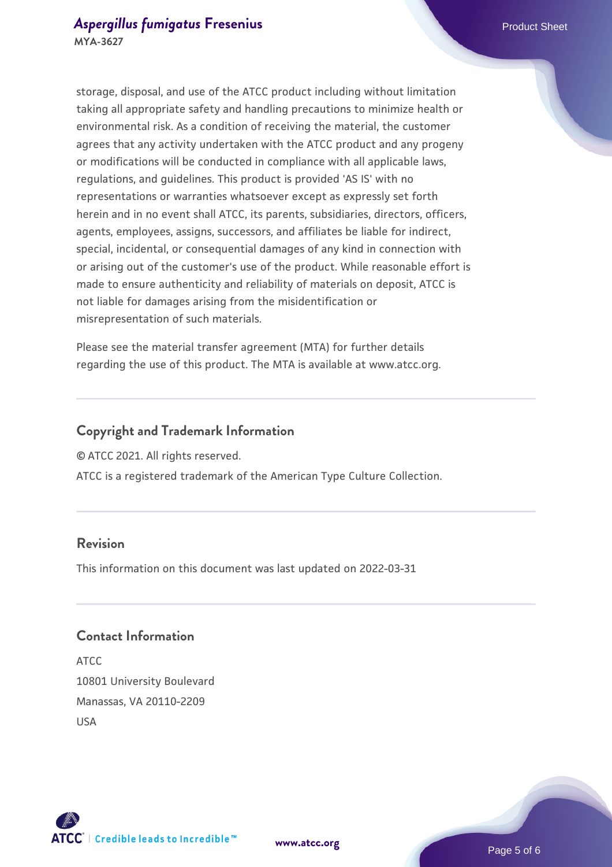storage, disposal, and use of the ATCC product including without limitation taking all appropriate safety and handling precautions to minimize health or environmental risk. As a condition of receiving the material, the customer agrees that any activity undertaken with the ATCC product and any progeny or modifications will be conducted in compliance with all applicable laws, regulations, and guidelines. This product is provided 'AS IS' with no representations or warranties whatsoever except as expressly set forth herein and in no event shall ATCC, its parents, subsidiaries, directors, officers, agents, employees, assigns, successors, and affiliates be liable for indirect, special, incidental, or consequential damages of any kind in connection with or arising out of the customer's use of the product. While reasonable effort is made to ensure authenticity and reliability of materials on deposit, ATCC is not liable for damages arising from the misidentification or misrepresentation of such materials.

Please see the material transfer agreement (MTA) for further details regarding the use of this product. The MTA is available at www.atcc.org.

#### **Copyright and Trademark Information**

© ATCC 2021. All rights reserved.

ATCC is a registered trademark of the American Type Culture Collection.

#### **Revision**

This information on this document was last updated on 2022-03-31

#### **Contact Information**

ATCC 10801 University Boulevard Manassas, VA 20110-2209 USA